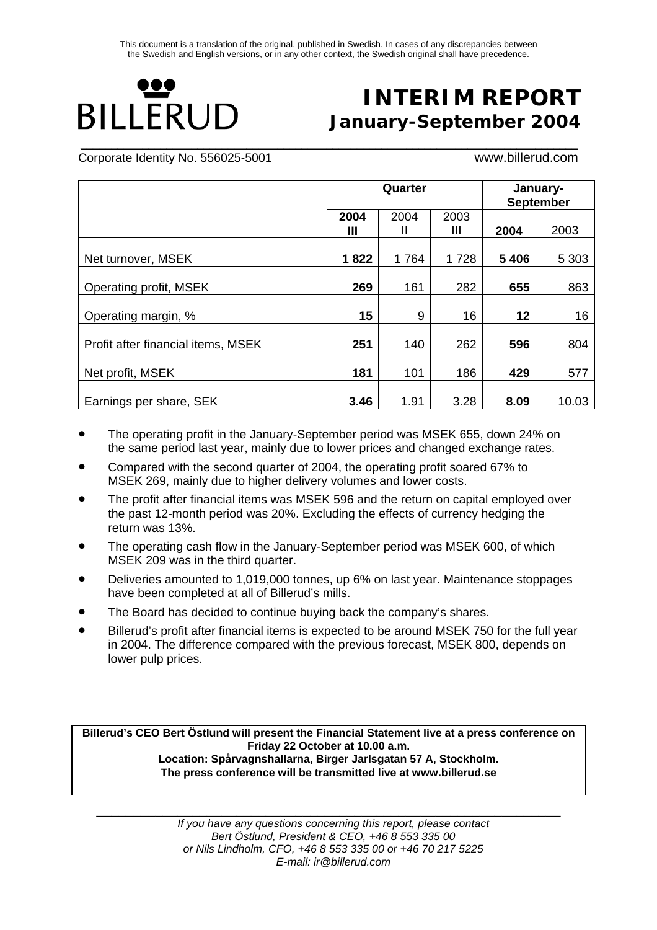**\_\_\_\_\_\_\_\_\_\_\_\_\_\_\_\_\_\_\_\_\_\_\_\_\_\_\_\_\_\_\_\_\_\_\_\_\_\_\_\_\_\_\_\_\_\_\_\_\_\_\_\_\_\_\_\_\_\_\_\_\_\_\_\_\_\_\_\_\_\_\_\_\_\_\_\_\_\_\_\_\_**

# ,,, **BILLERUD**

## **INTERIM REPORT January-September 2004**

Corporate Identity No. 556025-5001 www.billerud.com

|                                    |      | Quarter |      | January-<br><b>September</b> |         |  |
|------------------------------------|------|---------|------|------------------------------|---------|--|
|                                    | 2004 | 2004    | 2003 |                              |         |  |
|                                    | Ш    | н       | Ш    | 2004                         | 2003    |  |
|                                    |      |         |      |                              |         |  |
| Net turnover, MSEK                 | 1822 | 1764    | 1728 | 5 4 0 6                      | 5 3 0 3 |  |
|                                    |      |         |      |                              |         |  |
| Operating profit, MSEK             | 269  | 161     | 282  | 655                          | 863     |  |
|                                    |      |         |      |                              |         |  |
| Operating margin, %                | 15   | 9       | 16   | 12                           | 16      |  |
|                                    |      |         |      |                              |         |  |
| Profit after financial items, MSEK | 251  | 140     | 262  | 596                          | 804     |  |
|                                    |      |         |      |                              |         |  |
| Net profit, MSEK                   | 181  | 101     | 186  | 429                          | 577     |  |
|                                    |      |         |      |                              |         |  |
| Earnings per share, SEK            | 3.46 | 1.91    | 3.28 | 8.09                         | 10.03   |  |

- The operating profit in the January-September period was MSEK 655, down 24% on the same period last year, mainly due to lower prices and changed exchange rates.
- Compared with the second quarter of 2004, the operating profit soared 67% to MSEK 269, mainly due to higher delivery volumes and lower costs.
- The profit after financial items was MSEK 596 and the return on capital employed over the past 12-month period was 20%. Excluding the effects of currency hedging the return was 13%.
- The operating cash flow in the January-September period was MSEK 600, of which MSEK 209 was in the third quarter.
- Deliveries amounted to 1,019,000 tonnes, up 6% on last year. Maintenance stoppages have been completed at all of Billerud's mills.
- The Board has decided to continue buying back the company's shares.
- Billerud's profit after financial items is expected to be around MSEK 750 for the full year in 2004. The difference compared with the previous forecast, MSEK 800, depends on lower pulp prices.

**Billerud's CEO Bert Östlund will present the Financial Statement live at a press conference on Friday 22 October at 10.00 a.m. Location: Spårvagnshallarna, Birger Jarlsgatan 57 A, Stockholm. The press conference will be transmitted live at www.billerud.se**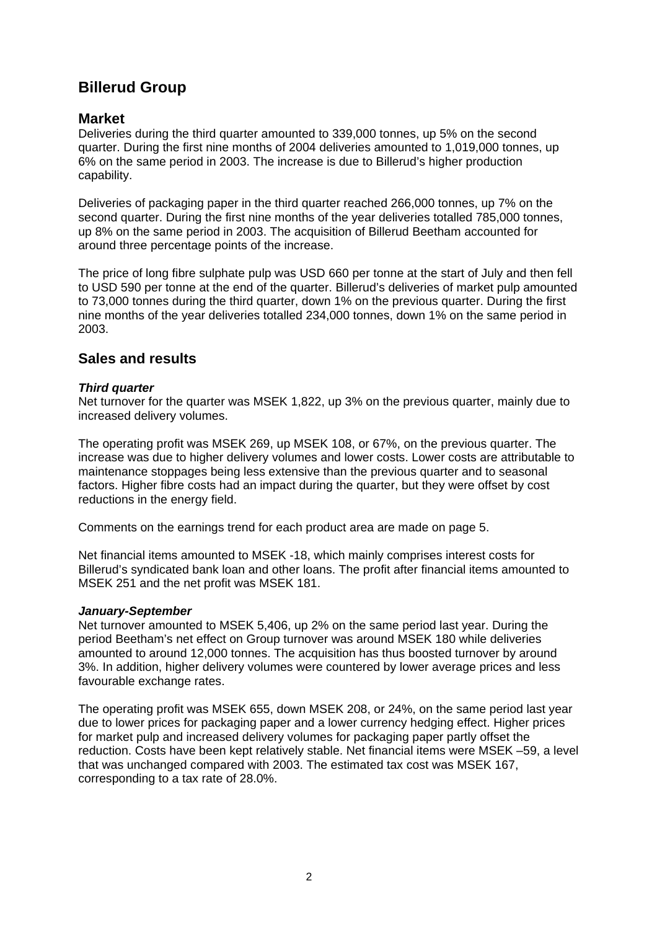## **Billerud Group**

#### **Market**

Deliveries during the third quarter amounted to 339,000 tonnes, up 5% on the second quarter. During the first nine months of 2004 deliveries amounted to 1,019,000 tonnes, up 6% on the same period in 2003. The increase is due to Billerud's higher production capability.

Deliveries of packaging paper in the third quarter reached 266,000 tonnes, up 7% on the second quarter. During the first nine months of the year deliveries totalled 785,000 tonnes, up 8% on the same period in 2003. The acquisition of Billerud Beetham accounted for around three percentage points of the increase.

The price of long fibre sulphate pulp was USD 660 per tonne at the start of July and then fell to USD 590 per tonne at the end of the quarter. Billerud's deliveries of market pulp amounted to 73,000 tonnes during the third quarter, down 1% on the previous quarter. During the first nine months of the year deliveries totalled 234,000 tonnes, down 1% on the same period in 2003.

## **Sales and results**

#### *Third quarter*

Net turnover for the quarter was MSEK 1,822, up 3% on the previous quarter, mainly due to increased delivery volumes.

The operating profit was MSEK 269, up MSEK 108, or 67%, on the previous quarter. The increase was due to higher delivery volumes and lower costs. Lower costs are attributable to maintenance stoppages being less extensive than the previous quarter and to seasonal factors. Higher fibre costs had an impact during the quarter, but they were offset by cost reductions in the energy field.

Comments on the earnings trend for each product area are made on page 5.

Net financial items amounted to MSEK -18, which mainly comprises interest costs for Billerud's syndicated bank loan and other loans. The profit after financial items amounted to MSEK 251 and the net profit was MSEK 181.

#### *January-September*

Net turnover amounted to MSEK 5,406, up 2% on the same period last year. During the period Beetham's net effect on Group turnover was around MSEK 180 while deliveries amounted to around 12,000 tonnes. The acquisition has thus boosted turnover by around 3%. In addition, higher delivery volumes were countered by lower average prices and less favourable exchange rates.

The operating profit was MSEK 655, down MSEK 208, or 24%, on the same period last year due to lower prices for packaging paper and a lower currency hedging effect. Higher prices for market pulp and increased delivery volumes for packaging paper partly offset the reduction. Costs have been kept relatively stable. Net financial items were MSEK –59, a level that was unchanged compared with 2003. The estimated tax cost was MSEK 167, corresponding to a tax rate of 28.0%.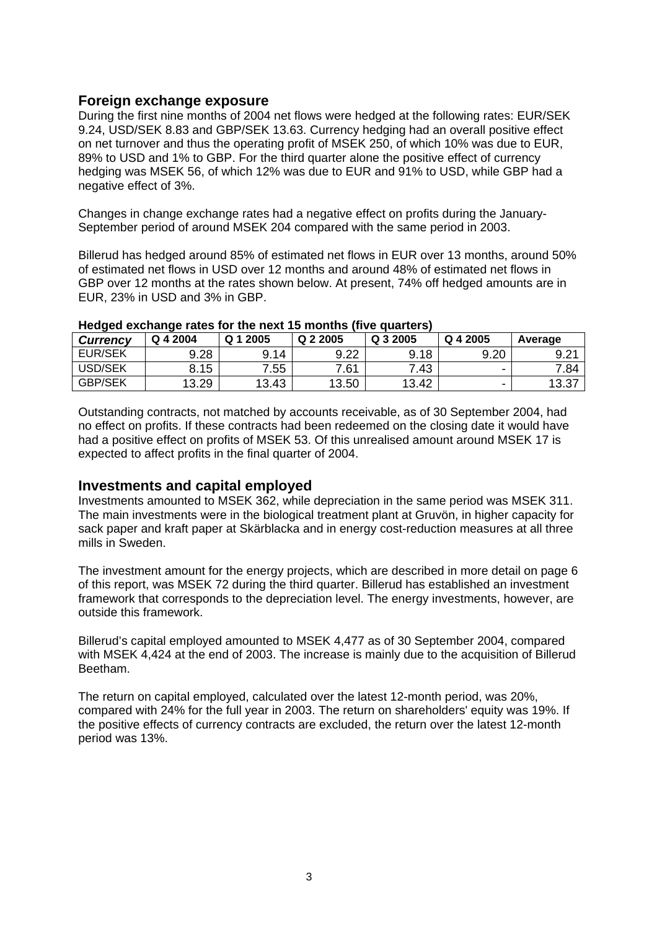#### **Foreign exchange exposure**

During the first nine months of 2004 net flows were hedged at the following rates: EUR/SEK 9.24, USD/SEK 8.83 and GBP/SEK 13.63. Currency hedging had an overall positive effect on net turnover and thus the operating profit of MSEK 250, of which 10% was due to EUR, 89% to USD and 1% to GBP. For the third quarter alone the positive effect of currency hedging was MSEK 56, of which 12% was due to EUR and 91% to USD, while GBP had a negative effect of 3%.

Changes in change exchange rates had a negative effect on profits during the January-September period of around MSEK 204 compared with the same period in 2003.

Billerud has hedged around 85% of estimated net flows in EUR over 13 months, around 50% of estimated net flows in USD over 12 months and around 48% of estimated net flows in GBP over 12 months at the rates shown below. At present, 74% off hedged amounts are in EUR, 23% in USD and 3% in GBP.

| $1.000$ and $0.001$ and $0.000$ . Of the flow the file international file of and $0.000$ |          |          |          |          |          |         |  |  |  |  |  |
|------------------------------------------------------------------------------------------|----------|----------|----------|----------|----------|---------|--|--|--|--|--|
| <b>Currency</b>                                                                          | Q 4 2004 | Q 1 2005 | Q 2 2005 | Q 3 2005 | Q 4 2005 | Average |  |  |  |  |  |
| <b>EUR/SEK</b>                                                                           | 9.28     | 9.14     | 9.22     | 9.18     | 9.20     | 9.21    |  |  |  |  |  |
| USD/SEK                                                                                  | 8.15     | 7.55     | 7.61     | 7.43     | -        | 7.84    |  |  |  |  |  |
| <b>GBP/SEK</b>                                                                           | 13.29    | 13.43    | 13.50    | 13.42    | -        | 13.37   |  |  |  |  |  |

#### **Hedged exchange rates for the next 15 months (five quarters)**

Outstanding contracts, not matched by accounts receivable, as of 30 September 2004, had no effect on profits. If these contracts had been redeemed on the closing date it would have had a positive effect on profits of MSEK 53. Of this unrealised amount around MSEK 17 is expected to affect profits in the final quarter of 2004.

#### **Investments and capital employed**

Investments amounted to MSEK 362, while depreciation in the same period was MSEK 311. The main investments were in the biological treatment plant at Gruvön, in higher capacity for sack paper and kraft paper at Skärblacka and in energy cost-reduction measures at all three mills in Sweden.

The investment amount for the energy projects, which are described in more detail on page 6 of this report, was MSEK 72 during the third quarter. Billerud has established an investment framework that corresponds to the depreciation level. The energy investments, however, are outside this framework.

Billerud's capital employed amounted to MSEK 4,477 as of 30 September 2004, compared with MSEK 4,424 at the end of 2003. The increase is mainly due to the acquisition of Billerud Beetham.

The return on capital employed, calculated over the latest 12-month period, was 20%, compared with 24% for the full year in 2003. The return on shareholders' equity was 19%. If the positive effects of currency contracts are excluded, the return over the latest 12-month period was 13%.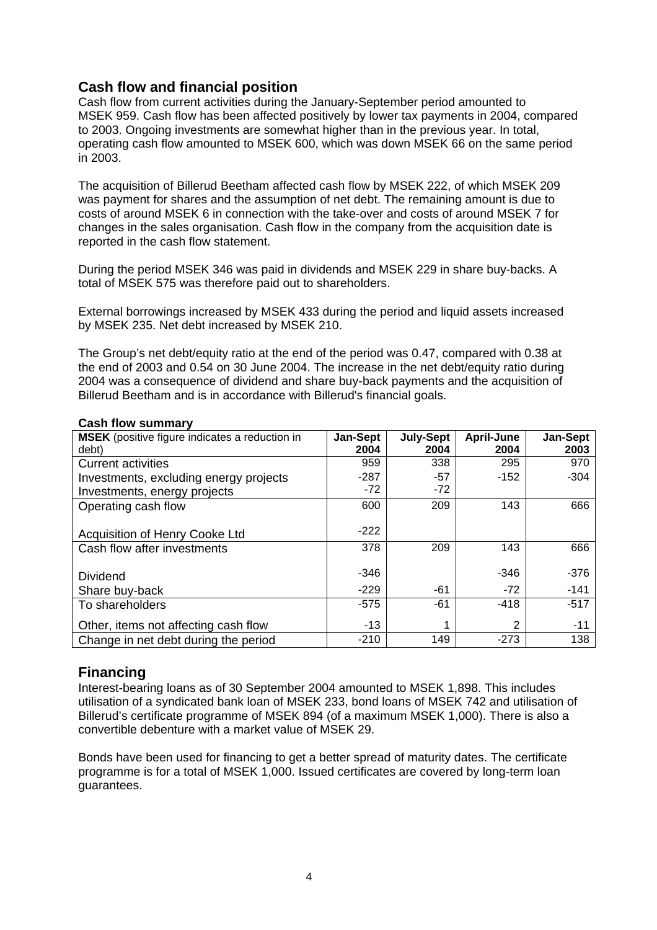## **Cash flow and financial position**

Cash flow from current activities during the January-September period amounted to MSEK 959. Cash flow has been affected positively by lower tax payments in 2004, compared to 2003. Ongoing investments are somewhat higher than in the previous year. In total, operating cash flow amounted to MSEK 600, which was down MSEK 66 on the same period in 2003.

The acquisition of Billerud Beetham affected cash flow by MSEK 222, of which MSEK 209 was payment for shares and the assumption of net debt. The remaining amount is due to costs of around MSEK 6 in connection with the take-over and costs of around MSEK 7 for changes in the sales organisation. Cash flow in the company from the acquisition date is reported in the cash flow statement.

During the period MSEK 346 was paid in dividends and MSEK 229 in share buy-backs. A total of MSEK 575 was therefore paid out to shareholders.

External borrowings increased by MSEK 433 during the period and liquid assets increased by MSEK 235. Net debt increased by MSEK 210.

The Group's net debt/equity ratio at the end of the period was 0.47, compared with 0.38 at the end of 2003 and 0.54 on 30 June 2004. The increase in the net debt/equity ratio during 2004 was a consequence of dividend and share buy-back payments and the acquisition of Billerud Beetham and is in accordance with Billerud's financial goals.

| <b>MSEK</b> (positive figure indicates a reduction in | Jan-Sept | <b>July-Sept</b> | April-June | Jan-Sept |
|-------------------------------------------------------|----------|------------------|------------|----------|
| debt)                                                 | 2004     | 2004             | 2004       | 2003     |
| Current activities                                    | 959      | 338              | 295        | 970      |
| Investments, excluding energy projects                | $-287$   | -57              | $-152$     | $-304$   |
| Investments, energy projects                          | $-72$    | $-72$            |            |          |
| Operating cash flow                                   | 600      | 209              | 143        | 666      |
|                                                       |          |                  |            |          |
| <b>Acquisition of Henry Cooke Ltd</b>                 | $-222$   |                  |            |          |
| Cash flow after investments                           | 378      | 209              | 143        | 666      |
|                                                       |          |                  |            |          |
| Dividend                                              | $-346$   |                  | $-346$     | $-376$   |
| Share buy-back                                        | $-229$   | -61              | $-72$      | $-141$   |
| To shareholders                                       | $-575$   | -61              | $-418$     | $-517$   |
| Other, items not affecting cash flow                  | $-13$    |                  | 2          | -11      |
| Change in net debt during the period                  | $-210$   | 149              | $-273$     | 138      |

#### **Cash flow summary**

## **Financing**

Interest-bearing loans as of 30 September 2004 amounted to MSEK 1,898. This includes utilisation of a syndicated bank loan of MSEK 233, bond loans of MSEK 742 and utilisation of Billerud's certificate programme of MSEK 894 (of a maximum MSEK 1,000). There is also a convertible debenture with a market value of MSEK 29.

Bonds have been used for financing to get a better spread of maturity dates. The certificate programme is for a total of MSEK 1,000. Issued certificates are covered by long-term loan guarantees.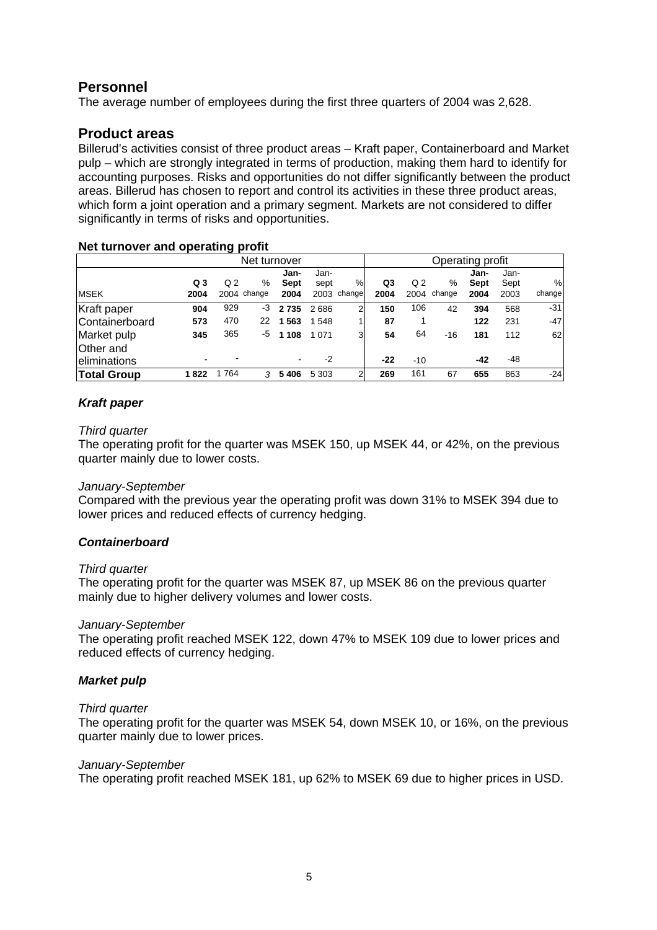## **Personnel**

The average number of employees during the first three quarters of 2004 was 2,628.

## **Product areas**

Billerud's activities consist of three product areas – Kraft paper, Containerboard and Market pulp – which are strongly integrated in terms of production, making them hard to identify for accounting purposes. Risks and opportunities do not differ significantly between the product areas. Billerud has chosen to report and control its activities in these three product areas, which form a joint operation and a primary segment. Markets are not considered to differ significantly in terms of risks and opportunities.

#### **Net turnover and operating profit**

|                    | Net turnover |                          |             |                | Operating profit |                |      |                |        |      |      |        |
|--------------------|--------------|--------------------------|-------------|----------------|------------------|----------------|------|----------------|--------|------|------|--------|
|                    |              |                          |             | Jan-           | Jan-             |                |      |                |        | Jan- | Jan- |        |
|                    | Q3           | Q <sub>2</sub>           | %           | Sept           | sept             | %              | Q3   | Q <sub>2</sub> | %      | Sept | Sept | %      |
| <b>MSEK</b>        | 2004         |                          | 2004 change | 2004           | 2003             | change         | 2004 | 2004           | change | 2004 | 2003 | change |
| Kraft paper        | 904          | 929                      | -3          | 2735           | 2686             | 2              | 150  | 106            | 42     | 394  | 568  | $-31$  |
| Containerboard     | 573          | 470                      | 22          | 1563           | 1 5 4 8          |                | 87   |                |        | 122  | 231  | -47    |
| Market pulp        | 345          | 365                      | -5          | 1 1 0 8        | 1 0 7 1          | 3 <sub>1</sub> | 54   | 64             | $-16$  | 181  | 112  | 62     |
| Other and          |              |                          |             |                |                  |                |      |                |        |      |      |        |
| eliminations       |              | $\overline{\phantom{0}}$ |             | $\blacksquare$ | $-2$             |                | -22  | $-10$          |        | -42  | -48  |        |
| <b>Total Group</b> | 1822         | 1764                     | 3           | 5406           | 5 3 0 3          | 2              | 269  | 161            | 67     | 655  | 863  | $-24$  |

#### *Kraft paper*

#### *Third quarter*

The operating profit for the quarter was MSEK 150, up MSEK 44, or 42%, on the previous quarter mainly due to lower costs.

#### *January-September*

Compared with the previous year the operating profit was down 31% to MSEK 394 due to lower prices and reduced effects of currency hedging.

#### *Containerboard*

#### *Third quarter*

The operating profit for the quarter was MSEK 87, up MSEK 86 on the previous quarter mainly due to higher delivery volumes and lower costs.

#### *January-September*

The operating profit reached MSEK 122, down 47% to MSEK 109 due to lower prices and reduced effects of currency hedging.

#### *Market pulp*

#### *Third quarter*

The operating profit for the quarter was MSEK 54, down MSEK 10, or 16%, on the previous quarter mainly due to lower prices.

#### *January-September*

The operating profit reached MSEK 181, up 62% to MSEK 69 due to higher prices in USD.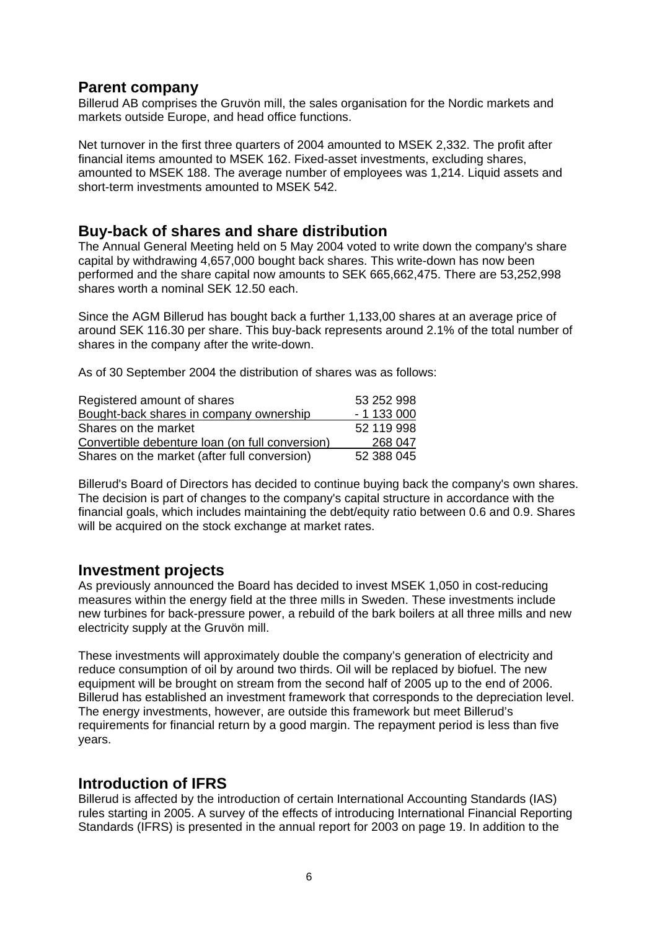## **Parent company**

Billerud AB comprises the Gruvön mill, the sales organisation for the Nordic markets and markets outside Europe, and head office functions.

Net turnover in the first three quarters of 2004 amounted to MSEK 2,332. The profit after financial items amounted to MSEK 162. Fixed-asset investments, excluding shares, amounted to MSEK 188. The average number of employees was 1,214. Liquid assets and short-term investments amounted to MSEK 542.

## **Buy-back of shares and share distribution**

The Annual General Meeting held on 5 May 2004 voted to write down the company's share capital by withdrawing 4,657,000 bought back shares. This write-down has now been performed and the share capital now amounts to SEK 665,662,475. There are 53,252,998 shares worth a nominal SEK 12.50 each.

Since the AGM Billerud has bought back a further 1,133,00 shares at an average price of around SEK 116.30 per share. This buy-back represents around 2.1% of the total number of shares in the company after the write-down.

As of 30 September 2004 the distribution of shares was as follows:

| Registered amount of shares                     | 53 252 998 |
|-------------------------------------------------|------------|
| Bought-back shares in company ownership         | $-1133000$ |
| Shares on the market                            | 52 119 998 |
| Convertible debenture loan (on full conversion) | 268 047    |
| Shares on the market (after full conversion)    | 52 388 045 |

Billerud's Board of Directors has decided to continue buying back the company's own shares. The decision is part of changes to the company's capital structure in accordance with the financial goals, which includes maintaining the debt/equity ratio between 0.6 and 0.9. Shares will be acquired on the stock exchange at market rates.

## **Investment projects**

As previously announced the Board has decided to invest MSEK 1,050 in cost-reducing measures within the energy field at the three mills in Sweden. These investments include new turbines for back-pressure power, a rebuild of the bark boilers at all three mills and new electricity supply at the Gruvön mill.

These investments will approximately double the company's generation of electricity and reduce consumption of oil by around two thirds. Oil will be replaced by biofuel. The new equipment will be brought on stream from the second half of 2005 up to the end of 2006. Billerud has established an investment framework that corresponds to the depreciation level. The energy investments, however, are outside this framework but meet Billerud's requirements for financial return by a good margin. The repayment period is less than five years.

## **Introduction of IFRS**

Billerud is affected by the introduction of certain International Accounting Standards (IAS) rules starting in 2005. A survey of the effects of introducing International Financial Reporting Standards (IFRS) is presented in the annual report for 2003 on page 19. In addition to the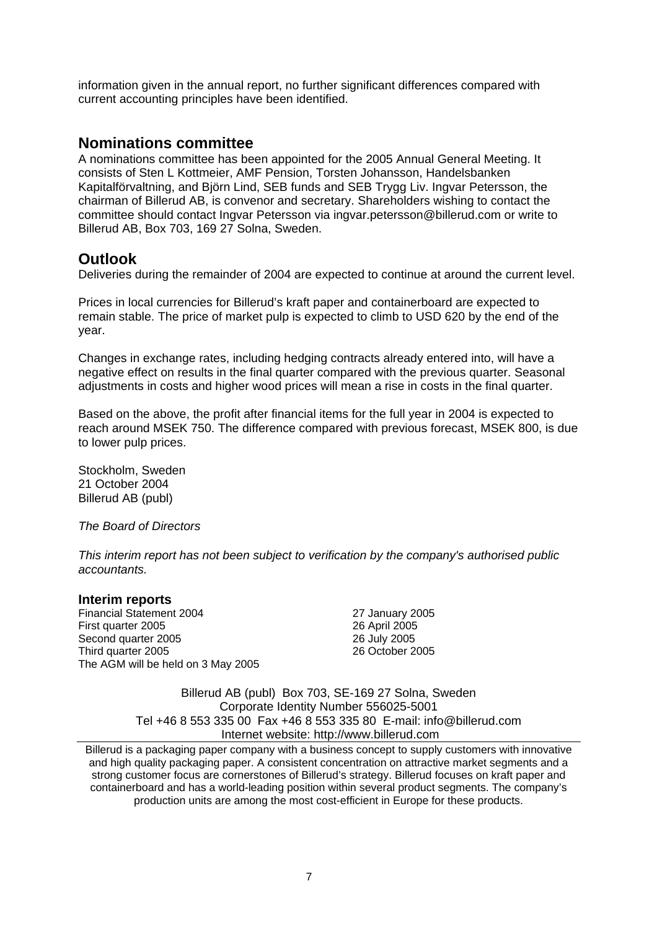information given in the annual report, no further significant differences compared with current accounting principles have been identified.

## **Nominations committee**

A nominations committee has been appointed for the 2005 Annual General Meeting. It consists of Sten L Kottmeier, AMF Pension, Torsten Johansson, Handelsbanken Kapitalförvaltning, and Björn Lind, SEB funds and SEB Trygg Liv. Ingvar Petersson, the chairman of Billerud AB, is convenor and secretary. Shareholders wishing to contact the committee should contact Ingvar Petersson via ingvar.petersson@billerud.com or write to Billerud AB, Box 703, 169 27 Solna, Sweden.

## **Outlook**

Deliveries during the remainder of 2004 are expected to continue at around the current level.

Prices in local currencies for Billerud's kraft paper and containerboard are expected to remain stable. The price of market pulp is expected to climb to USD 620 by the end of the year.

Changes in exchange rates, including hedging contracts already entered into, will have a negative effect on results in the final quarter compared with the previous quarter. Seasonal adjustments in costs and higher wood prices will mean a rise in costs in the final quarter.

Based on the above, the profit after financial items for the full year in 2004 is expected to reach around MSEK 750. The difference compared with previous forecast, MSEK 800, is due to lower pulp prices.

Stockholm, Sweden 21 October 2004 Billerud AB (publ)

*The Board of Directors* 

*This interim report has not been subject to verification by the company's authorised public accountants.* 

#### **Interim reports**

Financial Statement 2004 27 January 2005 First quarter 2005 Second quarter 2005 Third quarter 2005 The AGM will be held on 3 May 2005

26 April 2005 26 July 2005 26 October 2005

Billerud AB (publ) Box 703, SE-169 27 Solna, Sweden Corporate Identity Number 556025-5001 Tel +46 8 553 335 00 Fax +46 8 553 335 80 E-mail: info@billerud.com Internet website: http://www.billerud.com

Billerud is a packaging paper company with a business concept to supply customers with innovative and high quality packaging paper. A consistent concentration on attractive market segments and a strong customer focus are cornerstones of Billerud's strategy. Billerud focuses on kraft paper and containerboard and has a world-leading position within several product segments. The company's production units are among the most cost-efficient in Europe for these products.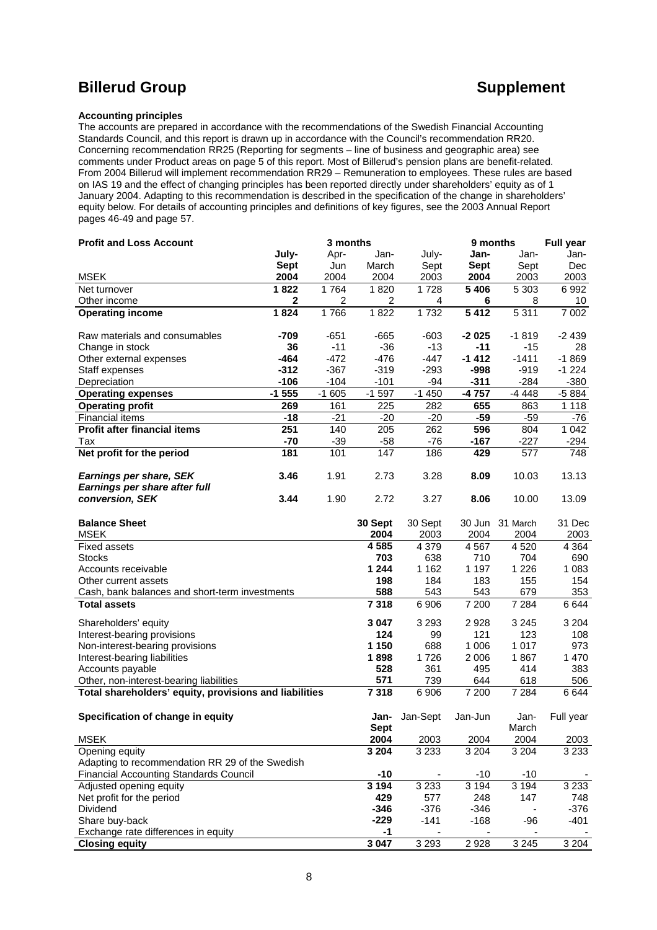## **Billerud Group CONSULTER SUPPLEMENT ASSESSED ASSESSED AT A SUPPLEMENT CONSULTER SUPPLEMENT AND A SUPPLEMENT CONSULTER A SUPPLEMENT CONSULTER AND A SUPPLEMENT CONSULTER A SUPPLEMENT CONSULTER A SUPPLEMENT CONSULTER A SUP**

#### **Accounting principles**

The accounts are prepared in accordance with the recommendations of the Swedish Financial Accounting Standards Council, and this report is drawn up in accordance with the Council's recommendation RR20. Concerning recommendation RR25 (Reporting for segments – line of business and geographic area) see comments under Product areas on page 5 of this report. Most of Billerud's pension plans are benefit-related. From 2004 Billerud will implement recommendation RR29 – Remuneration to employees. These rules are based on IAS 19 and the effect of changing principles has been reported directly under shareholders' equity as of 1 January 2004. Adapting to this recommendation is described in the specification of the change in shareholders' equity below. For details of accounting principles and definitions of key figures, see the 2003 Annual Report pages 46-49 and page 57.

| <b>Profit and Loss Account</b>                                    | 3 months    |         |                |          |         | 9 months        | <b>Full year</b> |
|-------------------------------------------------------------------|-------------|---------|----------------|----------|---------|-----------------|------------------|
|                                                                   | July-       | Apr-    | Jan-           | July-    | Jan-    | Jan-            | Jan-             |
|                                                                   | <b>Sept</b> | Jun     | March          | Sept     | Sept    | Sept            | Dec              |
| <b>MSEK</b>                                                       | 2004        | 2004    | 2004           | 2003     | 2004    | 2003            | 2003             |
| Net turnover                                                      | 1822        | 1764    | 1820           | 1728     | 5 4 0 6 | 5 3 0 3         | 6992             |
| Other income                                                      | $\mathbf 2$ | 2       | $\overline{2}$ | 4        | 6       | 8               | 10               |
| <b>Operating income</b>                                           | 1824        | 1766    | 1822           | 1732     | 5412    | 5 3 1 1         | 7 0 0 2          |
| Raw materials and consumables                                     | $-709$      | $-651$  | $-665$         | $-603$   | $-2025$ | $-1819$         | $-2439$          |
| Change in stock                                                   | 36          | $-11$   | $-36$          | $-13$    | $-11$   | $-15$           | 28               |
| Other external expenses                                           | $-464$      | $-472$  | $-476$         | $-447$   | $-1412$ | $-1411$         | $-1869$          |
| Staff expenses                                                    | $-312$      | $-367$  | $-319$         | $-293$   | -998    | $-919$          | $-1224$          |
| Depreciation                                                      | $-106$      | $-104$  | $-101$         | $-94$    | $-311$  | $-284$          | $-380$           |
| <b>Operating expenses</b>                                         | $-1555$     | $-1605$ | $-1597$        | $-1450$  | -4757   | $-4448$         | $-5884$          |
| <b>Operating profit</b>                                           | 269         | 161     | 225            | 282      | 655     | 863             | 1 1 1 8          |
| <b>Financial items</b>                                            | $-18$       | $-21$   | $-20$          | $-20$    | $-59$   | $-59$           | $-76$            |
| <b>Profit after financial items</b>                               | 251         | 140     | 205            | 262      | 596     | 804             | 1042             |
| Tax                                                               | $-70$       | $-39$   | $-58$          | $-76$    | $-167$  | $-227$          | $-294$           |
| Net profit for the period                                         | 181         | 101     | 147            | 186      | 429     | 577             | 748              |
| Earnings per share, SEK                                           | 3.46        | 1.91    | 2.73           | 3.28     | 8.09    | 10.03           | 13.13            |
| Earnings per share after full                                     |             |         |                |          |         |                 |                  |
| conversion, SEK                                                   | 3.44        | 1.90    | 2.72           | 3.27     | 8.06    | 10.00           | 13.09            |
| <b>Balance Sheet</b>                                              |             |         | 30 Sept        | 30 Sept  |         | 30 Jun 31 March | 31 Dec           |
| <b>MSEK</b>                                                       |             |         | 2004           | 2003     | 2004    | 2004            | 2003             |
| <b>Fixed assets</b>                                               |             |         | 4 585          | 4 3 7 9  | 4567    | 4520            | 4 3 6 4          |
| <b>Stocks</b>                                                     |             |         | 703            | 638      | 710     | 704             | 690              |
| Accounts receivable                                               |             |         | 1 2 4 4        | 1 1 6 2  | 1 1 9 7 | 1 2 2 6         | 1 0 8 3          |
| Other current assets                                              |             |         | 198            | 184      | 183     | 155             | 154              |
| Cash, bank balances and short-term investments                    |             |         | 588            | 543      | 543     | 679             | 353              |
| <b>Total assets</b>                                               |             |         | 7318           | 6 906    | 7 200   | 7 2 8 4         | 6644             |
| Shareholders' equity                                              |             |         | 3 047          | 3 2 9 3  | 2928    | 3 2 4 5         | 3 2 0 4          |
| Interest-bearing provisions                                       |             |         | 124            | 99       | 121     | 123             | 108              |
| Non-interest-bearing provisions                                   |             |         | 1 150          | 688      | 1 0 0 6 | 1017            | 973              |
| Interest-bearing liabilities                                      |             |         | 1898           | 1726     | 2 0 0 6 | 1867            | 1 4 7 0          |
| Accounts payable                                                  |             |         | 528            | 361      | 495     | 414             | 383              |
| Other, non-interest-bearing liabilities                           |             |         | 571            | 739      | 644     | 618             | 506              |
| Total shareholders' equity, provisions and liabilities            |             |         | 7318           | 6 90 6   | 7 200   | 7 2 8 4         | 6644             |
| Specification of change in equity                                 |             |         | Jan-           | Jan-Sept | Jan-Jun | Jan-            | Full year        |
|                                                                   |             |         | <b>Sept</b>    |          |         | March           |                  |
| <b>MSEK</b>                                                       |             |         | 2004           | 2003     | 2004    | 2004            | 2003             |
| Opening equity<br>Adapting to recommendation RR 29 of the Swedish |             |         | 3 2 0 4        | 3 2 3 3  | 3 2 0 4 | 3 2 0 4         | 3 2 3 3          |
| <b>Financial Accounting Standards Council</b>                     |             |         | $-10$          |          | -10     | $-10$           |                  |
| Adjusted opening equity                                           |             |         | 3 1 9 4        | 3 2 3 3  | 3 1 9 4 | 3 1 9 4         | 3 2 3 3          |
| Net profit for the period                                         |             |         | 429            | 577      | 248     | 147             | 748              |
| Dividend                                                          |             |         | $-346$         | $-376$   | $-346$  |                 | $-376$           |
| Share buy-back                                                    |             |         | $-229$         | $-141$   | $-168$  | -96             | $-401$           |
| Exchange rate differences in equity                               |             |         | -1             |          |         |                 |                  |
| <b>Closing equity</b>                                             |             |         | 3 0 4 7        | 3 2 9 3  | 2928    | 3 2 4 5         | 3 2 0 4          |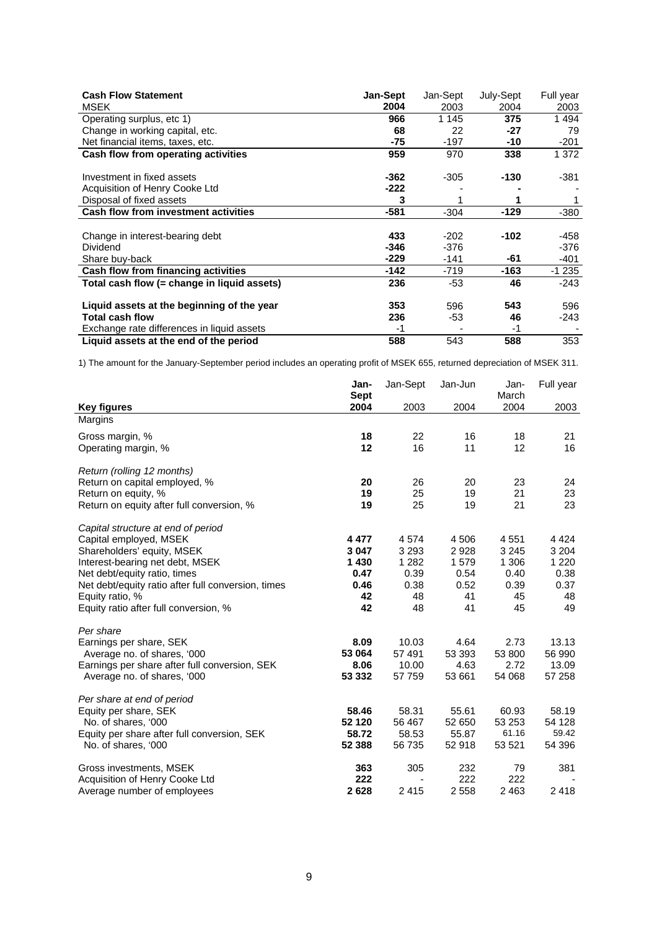| <b>Cash Flow Statement</b><br><b>MSEK</b>   | Jan-Sept<br>2004 | Jan-Sept<br>2003 | July-Sept<br>2004 | Full year<br>2003 |
|---------------------------------------------|------------------|------------------|-------------------|-------------------|
| Operating surplus, etc 1)                   | 966              | 1 1 4 5          | 375               | 1494              |
| Change in working capital, etc.             | 68               | 22               | $-27$             | 79                |
| Net financial items, taxes, etc.            | -75              | $-197$           | -10               | $-201$            |
| Cash flow from operating activities         | 959              | 970              | 338               | 1 372             |
| Investment in fixed assets                  | -362             | $-305$           | -130              | -381              |
| Acquisition of Henry Cooke Ltd              | -222             |                  |                   |                   |
| Disposal of fixed assets                    | 3                |                  |                   |                   |
| <b>Cash flow from investment activities</b> | $-581$           | $-304$           | $-129$            | $-380$            |
|                                             |                  |                  |                   |                   |
| Change in interest-bearing debt             | 433              | $-202$           | $-102$            | -458              |
| Dividend                                    | $-346$           | $-376$           |                   | $-376$            |
| Share buy-back                              | $-229$           | $-141$           | -61               | $-401$            |
| Cash flow from financing activities         | -142             | $-719$           | -163              | -1 235            |
| Total cash flow (= change in liguid assets) | 236              | -53              | 46                | $-243$            |
| Liquid assets at the beginning of the year  | 353              | 596              | 543               | 596               |
| <b>Total cash flow</b>                      | 236              | -53              | 46                | -243              |
| Exchange rate differences in liquid assets  | -1               |                  | -1                |                   |
| Liquid assets at the end of the period      | 588              | 543              | 588               | 353               |

1) The amount for the January-September period includes an operating profit of MSEK 655, returned depreciation of MSEK 311.

|                                                    | Jan-<br><b>Sept</b> | Jan-Sept | Jan-Jun | Jan-<br>March | Full year |
|----------------------------------------------------|---------------------|----------|---------|---------------|-----------|
| <b>Key figures</b>                                 | 2004                | 2003     | 2004    | 2004          | 2003      |
| Margins                                            |                     |          |         |               |           |
| Gross margin, %                                    | 18                  | 22       | 16      | 18            | 21        |
| Operating margin, %                                | 12                  | 16       | 11      | 12            | 16        |
| Return (rolling 12 months)                         |                     |          |         |               |           |
| Return on capital employed, %                      | 20                  | 26       | 20      | 23            | 24        |
| Return on equity, %                                | 19                  | 25       | 19      | 21            | 23        |
| Return on equity after full conversion, %          | 19                  | 25       | 19      | 21            | 23        |
| Capital structure at end of period                 |                     |          |         |               |           |
| Capital employed, MSEK                             | 4 4 7 7             | 4574     | 4 5 0 6 | 4551          | 4 4 2 4   |
| Shareholders' equity, MSEK                         | 3 0 4 7             | 3 2 9 3  | 2928    | 3 2 4 5       | 3 2 0 4   |
| Interest-bearing net debt, MSEK                    | 1 4 3 0             | 1 2 8 2  | 1579    | 1 306         | 1 2 2 0   |
| Net debt/equity ratio, times                       | 0.47                | 0.39     | 0.54    | 0.40          | 0.38      |
| Net debt/equity ratio after full conversion, times | 0.46                | 0.38     | 0.52    | 0.39          | 0.37      |
| Equity ratio, %                                    | 42                  | 48       | 41      | 45            | 48        |
| Equity ratio after full conversion, %              | 42                  | 48       | 41      | 45            | 49        |
| Per share                                          |                     |          |         |               |           |
| Earnings per share, SEK                            | 8.09                | 10.03    | 4.64    | 2.73          | 13.13     |
| Average no. of shares, '000                        | 53 064              | 57 491   | 53 393  | 53 800        | 56 990    |
| Earnings per share after full conversion, SEK      | 8.06                | 10.00    | 4.63    | 2.72          | 13.09     |
| Average no. of shares, '000                        | 53 332              | 57 759   | 53 661  | 54 068        | 57 258    |
| Per share at end of period                         |                     |          |         |               |           |
| Equity per share, SEK                              | 58.46               | 58.31    | 55.61   | 60.93         | 58.19     |
| No. of shares, '000                                | 52 120              | 56 467   | 52 650  | 53 253        | 54 128    |
| Equity per share after full conversion, SEK        | 58.72               | 58.53    | 55.87   | 61.16         | 59.42     |
| No. of shares, '000                                | 52 388              | 56 735   | 52 918  | 53 521        | 54 396    |
| Gross investments, MSEK                            | 363                 | 305      | 232     | 79            | 381       |
| Acquisition of Henry Cooke Ltd                     | 222                 |          | 222     | 222           |           |
| Average number of employees                        | 2628                | 2415     | 2558    | 2463          | 2418      |